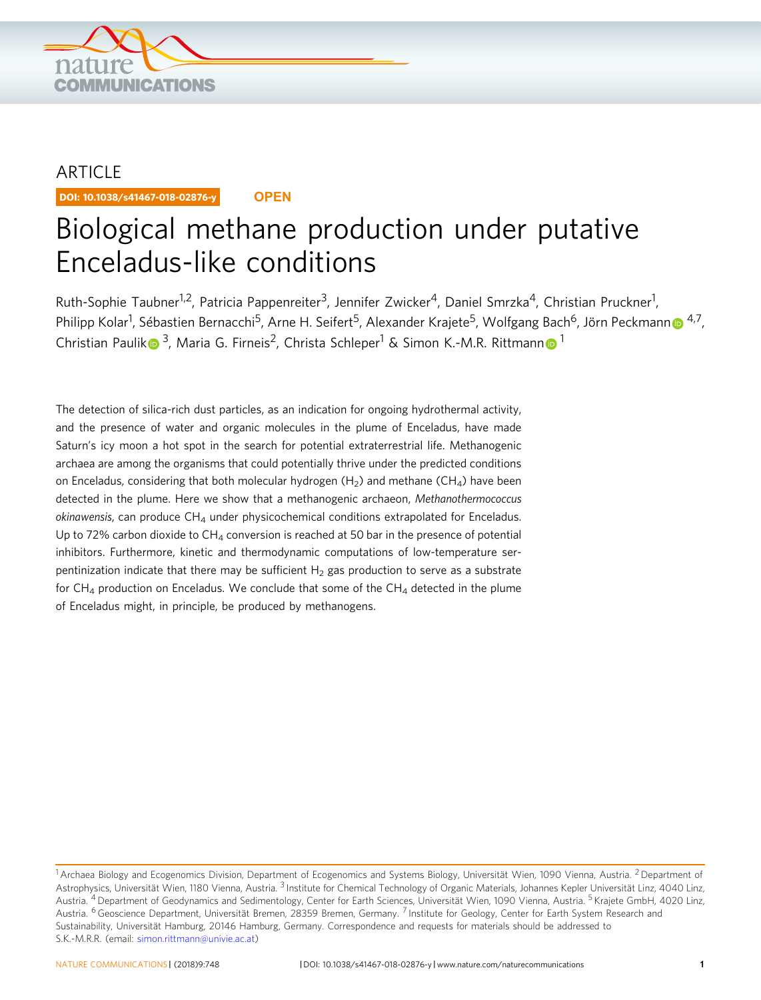

# ARTICLE

DOI: 10.1038/s41467-018-02876-y **OPEN**

# Biological methane production under putative Enceladus-like conditions

Ruth-Sophie Taubner<sup>1,2</sup>, Patricia Pappenreiter<sup>3</sup>, Jennifer Zwicker<sup>4</sup>, Daniel Smrzka<sup>4</sup>, Christian Pruckner<sup>1</sup>, Philipp Kolar<sup>1</sup>, Sébastie[n](http://orcid.org/0000-0002-8572-0060) Bernacchi<sup>5</sup>, Arne H. Seifert<sup>5</sup>, Alexander Krajete<sup>5</sup>, Wolfgang Bach<sup>6</sup>, Jörn Peckmann⋒ <sup>[4](http://orcid.org/0000-0002-8572-0060),7</sup>, Christian Pauli[k](http://orcid.org/0000-0002-1177-1527)  $\bullet$ <sup>3</sup>, Maria G. Fir[n](http://orcid.org/0000-0002-9746-3284)eis<sup>2</sup>, Christa Schleper<sup>[1](http://orcid.org/0000-0002-9746-3284)</sup> & Simon K.-M.R. Rittmann  $\bullet$ <sup>1</sup>

The detection of silica-rich dust particles, as an indication for ongoing hydrothermal activity, and the presence of water and organic molecules in the plume of Enceladus, have made Saturn's icy moon a hot spot in the search for potential extraterrestrial life. Methanogenic archaea are among the organisms that could potentially thrive under the predicted conditions on Enceladus, considering that both molecular hydrogen  $(H_2)$  and methane  $(CH_4)$  have been detected in the plume. Here we show that a methanogenic archaeon, Methanothermococcus  $okinawensis$ , can produce  $CH<sub>4</sub>$  under physicochemical conditions extrapolated for Enceladus. Up to 72% carbon dioxide to  $CH<sub>4</sub>$  conversion is reached at 50 bar in the presence of potential inhibitors. Furthermore, kinetic and thermodynamic computations of low-temperature serpentinization indicate that there may be sufficient  $H_2$  gas production to serve as a substrate for  $CH_4$  production on Enceladus. We conclude that some of the  $CH_4$  detected in the plume of Enceladus might, in principle, be produced by methanogens.

<sup>&</sup>lt;sup>1</sup> Archaea Biology and Ecogenomics Division, Department of Ecogenomics and Systems Biology, Universität Wien, 1090 Vienna, Austria. <sup>2</sup> Department of Astrophysics, Universität Wien, 1180 Vienna, Austria. <sup>3</sup> Institute for Chemical Technology of Organic Materials, Johannes Kepler Universität Linz, 4040 Linz, Austria. <sup>4</sup> Department of Geodynamics and Sedimentology, Center for Earth Sciences, Universität Wien, 1090 Vienna, Austria. <sup>5</sup> Krajete GmbH, 4020 Linz, Austria. <sup>6</sup> Geoscience Department, Universität Bremen, 28359 Bremen, Germany. <sup>7</sup> Institute for Geology, Center for Earth System Research and Sustainability, Universität Hamburg, 20146 Hamburg, Germany. Correspondence and requests for materials should be addressed to S.K.-M.R.R. (email: [simon.rittmann@univie.ac.at](mailto:simon.rittmann@univie.ac.at))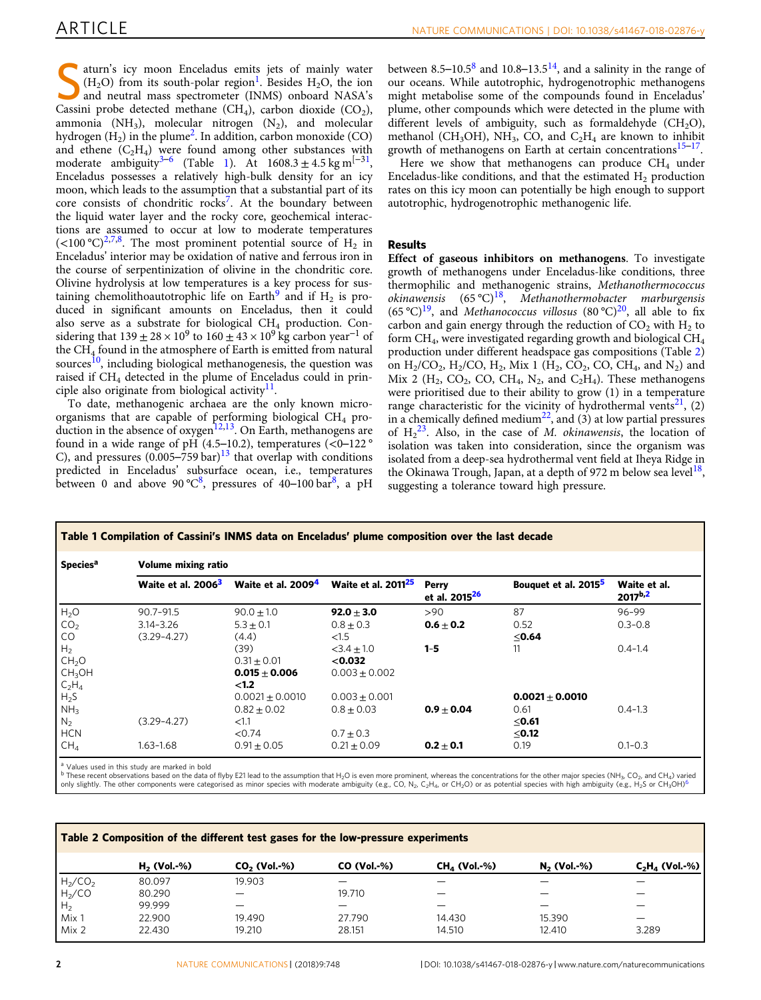aturn's icy moon Enceladus emits jets of mainly water  $(H<sub>2</sub>O)$  from its south-polar region<sup>[1](#page-9-0)</sup>. Besides H<sub>2</sub>O, the ion and neutral mass spectrometer (INMS) onboard NASA's Cassini probe detected methane  $(CH_4)$ , carbon dioxide  $(CO_2)$ , ammonia  $(NH_3)$ , molecular nitrogen  $(N_2)$ , and molecular hydrogen  $(H<sub>2</sub>)$  $(H<sub>2</sub>)$  $(H<sub>2</sub>)$  in the plume<sup>2</sup>. In addition, carbon monoxide (CO) and ethene  $(C_2H_4)$  were found among other substances with moderate ambiguity<sup>[3](#page-9-0)–[6](#page-9-0)</sup> (Table 1). At  $1608.3 \pm 4.5$  kg m<sup>[-31</sup>, Enceladus possesses a relatively high-bulk density for an icy moon, which leads to the assumption that a substantial part of its core consists of chondritic rocks<sup>[7](#page-9-0)</sup>. At the boundary between the liquid water layer and the rocky core, geochemical interactions are assumed to occur at low to moderate temperatures  $(<100 \degree C)^{2,7,8}$  $(<100 \degree C)^{2,7,8}$  $(<100 \degree C)^{2,7,8}$ . The most prominent potential source of H<sub>2</sub> in Enceladus' interior may be oxidation of native and ferrous iron in the course of serpentinization of olivine in the chondritic core. Olivine hydrolysis at low temperatures is a key process for sus-taining chemolithoautotrophic life on Earth<sup>[9](#page-9-0)</sup> and if  $H_2$  is produced in significant amounts on Enceladus, then it could also serve as a substrate for biological  $CH_4$  production. Considering that  $139 \pm 28 \times 10^9$  to  $160 \pm 43 \times 10^9$  kg carbon year<sup>-1</sup> of the CH4 found in the atmosphere of Earth is emitted from natural sources $10$ , including biological methanogenesis, the question was raised if CH4 detected in the plume of Enceladus could in principle also originate from biological activity $^{11}$ .

To date, methanogenic archaea are the only known microorganisms that are capable of performing biological  $CH_4$  pro-duction in the absence of oxygen<sup>[12,13](#page-9-0)</sup>. On Earth, methanogens are found in a wide range of pH  $(4.5-10.2)$ , temperatures  $( $0-122°$$ C), and pressures  $(0.005-759 \text{ bar})^{13}$  $(0.005-759 \text{ bar})^{13}$  $(0.005-759 \text{ bar})^{13}$  that overlap with conditions predicted in Enceladus' subsurface ocean, i.e., temperatures between 0 and above 90 °C<sup>[8](#page-9-0)</sup>, pressures of 40–100 bar<sup>8</sup>, a pH between [8](#page-9-0).5–10.5 $8$  and 10.8–13.5<sup>14</sup>, and a salinity in the range of our oceans. While autotrophic, hydrogenotrophic methanogens might metabolise some of the compounds found in Enceladus' plume, other compounds which were detected in the plume with different levels of ambiguity, such as formaldehyde  $(CH<sub>2</sub>O)$ , methanol (CH<sub>3</sub>OH), NH<sub>3</sub>, CO, and C<sub>2</sub>H<sub>4</sub> are known to inhibit growth of methanogens on Earth at certain concentrations<sup>[15](#page-9-0)–[17](#page-9-0)</sup>.

Here we show that methanogens can produce  $CH<sub>4</sub>$  under Enceladus-like conditions, and that the estimated  $H<sub>2</sub>$  production rates on this icy moon can potentially be high enough to support autotrophic, hydrogenotrophic methanogenic life.

# Results

Effect of gaseous inhibitors on methanogens. To investigate growth of methanogens under Enceladus-like conditions, three thermophilic and methanogenic strains, Methanothermococcus okinawensis  $(65 \degree C)^{18}$ , Methanothermobacter marburgensis (65 °C)<sup>19</sup>, and *Methanococcus villosus* (80 °C)<sup>20</sup>, all able to fix carbon and gain energy through the reduction of  $CO<sub>2</sub>$  with  $H<sub>2</sub>$  to form CH4, were investigated regarding growth and biological CH4 production under different headspace gas compositions (Table 2) on  $H_2/CO_2$ ,  $H_2/CO$ ,  $H_2$ , Mix 1 ( $H_2$ , CO<sub>2</sub>, CO, CH<sub>4</sub>, and N<sub>2</sub>) and Mix 2 ( $H_2$ , CO<sub>2</sub>, CO, CH<sub>4</sub>, N<sub>2</sub>, and C<sub>2</sub>H<sub>4</sub>). These methanogens were prioritised due to their ability to grow (1) in a temperature range characteristic for the vicinity of hydrothermal vents<sup>[21](#page-9-0)</sup>, (2) in a chemically defined medium<sup>[22](#page-9-0)</sup>, and (3) at low partial pressures of  $H_2^{23}$ . Also, in the case of *M. okinawensis*, the location of isolation was taken into consideration, since the organism was isolated from a deep-sea hydrothermal vent field at Iheya Ridge in the Okinawa Trough, Japan, at a depth of 972 m below sea level<sup>18</sup>, suggesting a tolerance toward high pressure.

| <b>Species<sup>a</sup></b> | <b>Volume mixing ratio</b>     |                      |                                       |                                    |                                  |                                     |  |
|----------------------------|--------------------------------|----------------------|---------------------------------------|------------------------------------|----------------------------------|-------------------------------------|--|
|                            | Waite et al. 2006 <sup>3</sup> | Waite et al. $20094$ | <b>Waite et al. 2011<sup>25</sup></b> | Perry<br>et al. 2015 <sup>26</sup> | Bouquet et al. 2015 <sup>5</sup> | Waite et al.<br>2017 <sup>b,2</sup> |  |
| H <sub>2</sub> O           | $90.7 - 91.5$                  | $90.0 + 1.0$         | $92.0 + 3.0$                          | >90                                | 87                               | 96-99                               |  |
| CO <sub>2</sub>            | $3.14 - 3.26$                  | $5.3 + 0.1$          | $0.8 \pm 0.3$                         | $0.6 + 0.2$                        | 0.52                             | $0.3 - 0.8$                         |  |
| CO.                        | $(3.29 - 4.27)$                | (4.4)                | <1.5                                  |                                    | ≤0.64                            |                                     |  |
| H <sub>2</sub>             |                                | (39)                 | $<$ 3.4 + 1.0                         | $1 - 5$                            | 11                               | $0.4 - 1.4$                         |  |
| CH <sub>2</sub> O          |                                | $0.31 + 0.01$        | $<$ 0.032                             |                                    |                                  |                                     |  |
| CH <sub>3</sub> OH         |                                | $0.015 + 0.006$      | $0.003 + 0.002$                       |                                    |                                  |                                     |  |
| $C_2H_4$                   |                                | < 1.2                |                                       |                                    |                                  |                                     |  |
| $H_{2}S$                   |                                | $0.0021 \pm 0.0010$  | $0.003 \pm 0.001$                     |                                    | $0.0021 \pm 0.0010$              |                                     |  |
| NH <sub>3</sub>            |                                | $0.82 \pm 0.02$      | $0.8 \pm 0.03$                        | $0.9 + 0.04$                       | 0.61                             | $0.4 - 1.3$                         |  |
| N <sub>2</sub>             | $(3.29 - 4.27)$                | < 1.1                |                                       |                                    | ≤0.61                            |                                     |  |
| <b>HCN</b>                 |                                | < 0.74               | $0.7 \pm 0.3$                         |                                    | ≤0.12                            |                                     |  |
| CH <sub>4</sub>            | $1.63 - 1.68$                  | $0.91 \pm 0.05$      | $0.21 \pm 0.09$                       | $0.2 + 0.1$                        | 0.19                             | $0.1 - 0.3$                         |  |

<sup>a</sup> Values used in this study are marked in bold<br><sup>b</sup> These recent observations based on the data of flyby E21 lead to the assumption that H<sub>2</sub>O is even more prominent, whereas the concentrations for the other major species only slightly. The other components were categorised as minor species with moderate ambiguity (e.g., CO, N<sub>2</sub>, C<sub>2</sub>H<sub>4</sub>, or CH<sub>2</sub>O) or as potential species with high ambiguity (e.g., H<sub>2</sub>S or CH<sub>3</sub>OH)<sup>6</sup>

| Table 2 Composition of the different test gases for the low-pressure experiments |               |                |               |                |               |                   |  |
|----------------------------------------------------------------------------------|---------------|----------------|---------------|----------------|---------------|-------------------|--|
|                                                                                  | $H2$ (Vol.-%) | $CO2$ (Vol.-%) | $CO (Vol.-%)$ | $CHA$ (Vol.-%) | $N2$ (Vol.-%) | $C_2H_a$ (Vol.-%) |  |
|                                                                                  | 80.097        | 19.903         |               |                |               |                   |  |
| $H_2$ /CO <sub>2</sub><br>$H_2$ /CO                                              | 80.290        |                | 19.710        |                |               |                   |  |
| H <sub>2</sub>                                                                   | 99.999        |                |               |                |               |                   |  |
| Mix 1                                                                            | 22.900        | 19.490         | 27.790        | 14.430         | 15.390        |                   |  |
| Mix 2                                                                            | 22.430        | 19.210         | 28.151        | 14.510         | 12.410        | 3.289             |  |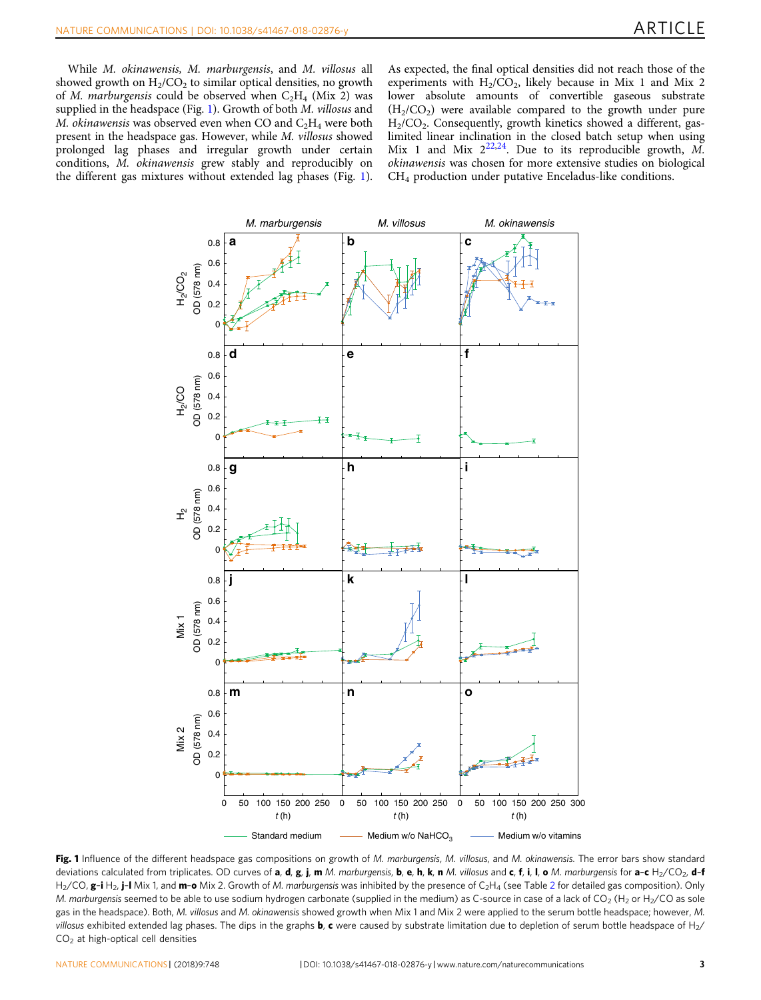<span id="page-2-0"></span>While M. okinawensis, M. marburgensis, and M. villosus all showed growth on  $H<sub>2</sub>/CO<sub>2</sub>$  to similar optical densities, no growth of *M. marburgensis* could be observed when  $C_2H_4$  (Mix 2) was supplied in the headspace (Fig. 1). Growth of both *M. villosus* and M. okinawensis was observed even when CO and  $C_2H_4$  were both present in the headspace gas. However, while M. villosus showed prolonged lag phases and irregular growth under certain conditions, M. okinawensis grew stably and reproducibly on the different gas mixtures without extended lag phases (Fig. 1).

As expected, the final optical densities did not reach those of the experiments with  $H<sub>2</sub>/CO<sub>2</sub>$ , likely because in Mix 1 and Mix 2 lower absolute amounts of convertible gaseous substrate  $(H<sub>2</sub>/CO<sub>2</sub>)$  were available compared to the growth under pure  $H<sub>2</sub>/CO<sub>2</sub>$ . Consequently, growth kinetics showed a different, gaslimited linear inclination in the closed batch setup when using Mix 1 and Mix  $2^{22,24}$  $2^{22,24}$  $2^{22,24}$ . Due to its reproducible growth, M. okinawensis was chosen for more extensive studies on biological CH4 production under putative Enceladus-like conditions.



Fig. 1 Influence of the different headspace gas compositions on growth of M. marburgensis, M. villosus, and M. okinawensis. The error bars show standard deviations calculated from triplicates. OD curves of a, d, g, j, m M. marburgensis, b, e, h, k, n M. villosus and c, f, i, l, o M. marburgensis for a-c H<sub>2</sub>/CO<sub>2</sub>, d-f  $H_2$ /CO, g-i H<sub>2</sub>, j-I Mix 1, and m-o Mix 2. Growth of M. marburgensis was inhibited by the presence of C<sub>2</sub>H<sub>4</sub> (see Table 2 for detailed gas composition). Only M. marburgensis seemed to be able to use sodium hydrogen carbonate (supplied in the medium) as C-source in case of a lack of CO<sub>2</sub> (H<sub>2</sub> or H<sub>2</sub>/CO as sole gas in the headspace). Both, M. villosus and M. okinawensis showed growth when Mix 1 and Mix 2 were applied to the serum bottle headspace; however, M. villosus exhibited extended lag phases. The dips in the graphs **b**, c were caused by substrate limitation due to depletion of serum bottle headspace of H<sub>2</sub>/  $CO<sub>2</sub>$  at high-optical cell densities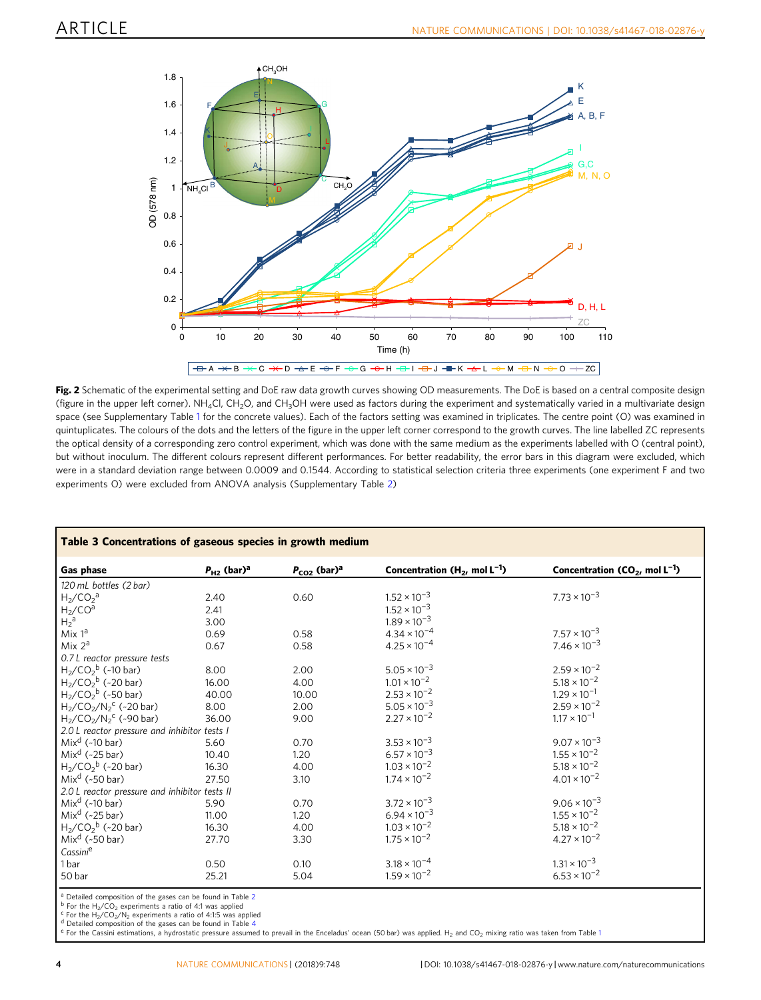<span id="page-3-0"></span>

Fig. 2 Schematic of the experimental setting and DoE raw data growth curves showing OD measurements. The DoE is based on a central composite design (figure in the upper left corner).  $NH_4C$ l, CH<sub>2</sub>O, and CH<sub>3</sub>OH were used as factors during the experiment and systematically varied in a multivariate design space (see Supplementary Table 1 for the concrete values). Each of the factors setting was examined in triplicates. The centre point (O) was examined in quintuplicates. The colours of the dots and the letters of the figure in the upper left corner correspond to the growth curves. The line labelled ZC represents the optical density of a corresponding zero control experiment, which was done with the same medium as the experiments labelled with O (central point), but without inoculum. The different colours represent different performances. For better readability, the error bars in this diagram were excluded, which were in a standard deviation range between 0.0009 and 0.1544. According to statistical selection criteria three experiments (one experiment F and two experiments O) were excluded from ANOVA analysis (Supplementary Table 2)

| <b>Gas phase</b>                                              | $P_{H2}$ (bar) <sup>a</sup> | $P_{CO2}$ (bar) <sup>a</sup> | Concentration ( $H_2$ , mol $L^{-1}$ ) | Concentration ( $CO2$ , mol L <sup>-1</sup> ) |
|---------------------------------------------------------------|-----------------------------|------------------------------|----------------------------------------|-----------------------------------------------|
|                                                               |                             |                              |                                        |                                               |
| 120 mL bottles (2 bar)                                        |                             |                              |                                        |                                               |
| $H2/CO2a$                                                     | 2.40                        | 0.60                         | $1.52 \times 10^{-3}$                  | $7.73 \times 10^{-3}$                         |
| $H_2$ /CO <sup>a</sup>                                        | 2.41                        |                              | $1.52 \times 10^{-3}$                  |                                               |
| $H_2^a$                                                       | 3.00                        |                              | $1.89 \times 10^{-3}$                  |                                               |
| Mix $1^a$                                                     | 0.69                        | 0.58                         | $4.34 \times 10^{-4}$                  | $7.57 \times 10^{-3}$                         |
| Mix $2^a$                                                     | 0.67                        | 0.58                         | $4.25 \times 10^{-4}$                  | $7.46 \times 10^{-3}$                         |
| 0.7 L reactor pressure tests                                  |                             |                              |                                        |                                               |
| $H_2$ /CO <sub>2</sub> <sup>b</sup> (~10 bar)                 | 8.00                        | 2.00                         | $5.05 \times 10^{-3}$                  | $2.59 \times 10^{-2}$                         |
| $H_2$ /CO <sub>2</sub> <sup>b</sup> (~20 bar)                 | 16.00                       | 4.00                         | $1.01 \times 10^{-2}$                  | $5.18 \times 10^{-2}$                         |
| $H_2/CO_2^b$ (~50 bar)                                        | 40.00                       | 10.00                        | $2.53 \times 10^{-2}$                  | $1.29 \times 10^{-1}$                         |
| $H_2$ /CO <sub>2</sub> /N <sub>2</sub> <sup>c</sup> (~20 bar) | 8.00                        | 2.00                         | $5.05 \times 10^{-3}$                  | $2.59 \times 10^{-2}$                         |
| $H_2$ /CO <sub>2</sub> /N <sub>2</sub> <sup>c</sup> (~90 bar) | 36.00                       | 9.00                         | $2.27 \times 10^{-2}$                  | $1.17 \times 10^{-1}$                         |
| 2.0 L reactor pressure and inhibitor tests I                  |                             |                              |                                        |                                               |
| Mix <sup>d</sup> $(-10 \text{ bar})$                          | 5.60                        | 0.70                         | $3.53 \times 10^{-3}$                  | $9.07 \times 10^{-3}$                         |
| Mix <sup>d</sup> (~25 bar)                                    | 10.40                       | 1.20                         | $6.57 \times 10^{-3}$                  | $1.55 \times 10^{-2}$                         |
| $H_2$ /CO <sub>2</sub> <sup>b</sup> (~20 bar)                 | 16.30                       | 4.00                         | $1.03 \times 10^{-2}$                  | $5.18 \times 10^{-2}$                         |
| Mix <sup>d</sup> (~50 bar)                                    | 27.50                       | 3.10                         | $1.74 \times 10^{-2}$                  | $4.01 \times 10^{-2}$                         |
| 2.0 L reactor pressure and inhibitor tests II                 |                             |                              |                                        |                                               |
| $Mixd$ (~10 bar)                                              | 5.90                        | 0.70                         | $3.72 \times 10^{-3}$                  | $9.06 \times 10^{-3}$                         |
| Mix <sup>d</sup> (~25 bar)                                    | 11.00                       | 1.20                         | $6.94 \times 10^{-3}$                  | $1.55 \times 10^{-2}$                         |
| $H_2$ /CO <sub>2</sub> <sup>b</sup> (~20 bar)                 | 16.30                       | 4.00                         | $1.03 \times 10^{-2}$                  | $5.18 \times 10^{-2}$                         |
| Mix <sup>d</sup> (~50 bar)                                    | 27.70                       | 3.30                         | $1.75 \times 10^{-2}$                  | $4.27 \times 10^{-2}$                         |
| Cassini <sup>e</sup>                                          |                             |                              |                                        |                                               |
| 1bar                                                          | 0.50                        | 0.10                         | $3.18 \times 10^{-4}$                  | $1.31 \times 10^{-3}$                         |
| 50 bar                                                        | 25.21                       | 5.04                         | $1.59 \times 10^{-2}$                  | $6.53 \times 10^{-2}$                         |
|                                                               |                             |                              |                                        |                                               |

Detailed composition of the gases can be found in Table 4<br>For the Cassini estimations, a hydrostatic pressure assumed to prevail in the Enceladus' ocean (50 bar) was applied. H<sub>2</sub> and CO<sub>2</sub> mixing ratio was taken from Tabl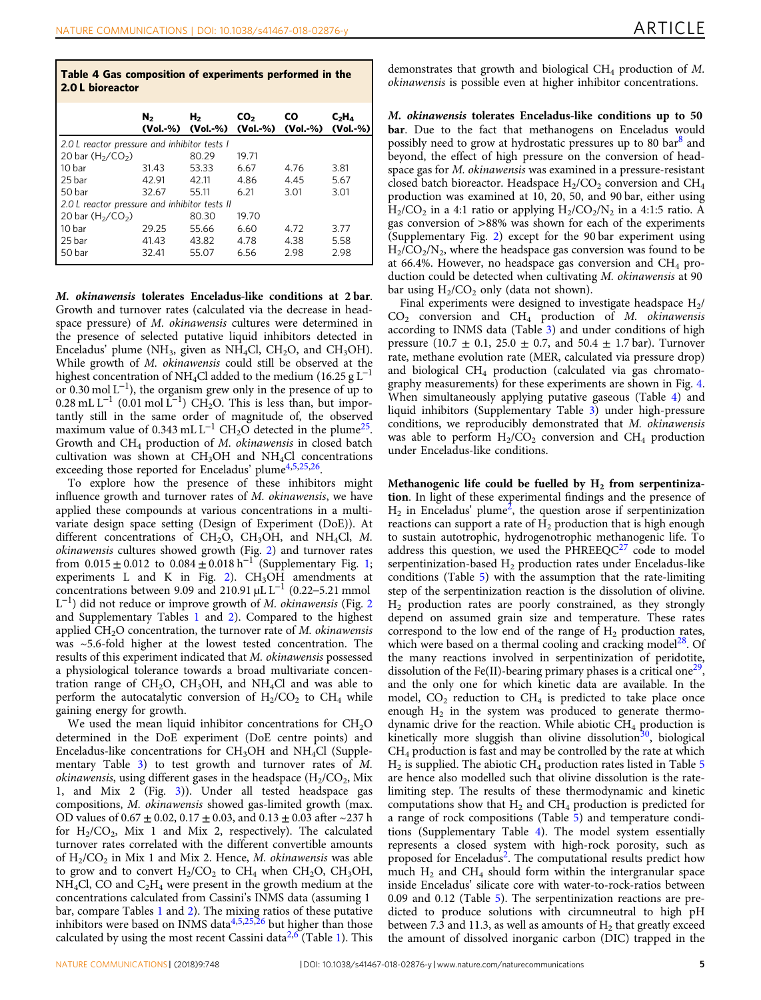| Table 4 Gas composition of experiments performed in the<br>2.0 L bioreactor |                |                         |                             |                       |                        |
|-----------------------------------------------------------------------------|----------------|-------------------------|-----------------------------|-----------------------|------------------------|
|                                                                             | N <sub>2</sub> | н,<br>(Vol.-%) (Vol.-%) | CO <sub>2</sub><br>(Vol.-%) | <b>CO</b><br>(Vol.-%) | $C_2H_4$<br>$(Vol.-%)$ |
| 2.0 L reactor pressure and inhibitor tests I                                |                |                         |                             |                       |                        |
| 20 bar $(H_2/CO_2)$                                                         |                | 80.29                   | 19.71                       |                       |                        |
| 10 bar                                                                      | 31.43          | 53.33                   | 6.67                        | 4.76                  | 3.81                   |
| 25 bar                                                                      | 42.91          | 42.11                   | 4.86                        | 4.45                  | 5.67                   |
| 50 bar                                                                      | 32.67          | 55.11                   | 6.21                        | 3.01                  | 3.01                   |
| 2.0 L reactor pressure and inhibitor tests II                               |                |                         |                             |                       |                        |
| 20 bar $(H_2/CO_2)$                                                         |                | 80.30                   | 19.70                       |                       |                        |
| 10 bar                                                                      | 29.25          | 55.66                   | 6.60                        | 4.72                  | 3.77                   |
| 25 bar                                                                      | 41.43          | 43.82                   | 4.78                        | 4.38                  | 5.58                   |
| 50 bar                                                                      | 32.41          | 55.07                   | 6.56                        | 2.98                  | 2.98                   |

M. okinawensis tolerates Enceladus-like conditions at 2 bar. Growth and turnover rates (calculated via the decrease in headspace pressure) of M. okinawensis cultures were determined in the presence of selected putative liquid inhibitors detected in Enceladus' plume (NH<sub>3</sub>, given as NH<sub>4</sub>Cl, CH<sub>2</sub>O, and CH<sub>3</sub>OH). While growth of M. okinawensis could still be observed at the highest concentration of NH<sub>4</sub>Cl added to the medium (16.25 g L<sup>-1</sup> or 0.30 mol  $L^{-1}$ ), the organism grew only in the presence of up to  $0.28 \text{ mL L}^{-1}$  (0.01 mol L<sup>-1</sup>) CH<sub>2</sub>O. This is less than, but importantly still in the same order of magnitude of, the observed maximum value of 0.343 mL L<sup>-1</sup> CH<sub>2</sub>O detected in the plume<sup>25</sup>. Growth and CH4 production of M. okinawensis in closed batch cultivation was shown at  $CH<sub>3</sub>OH$  and  $NH<sub>4</sub>Cl$  concentrations exceeding those reported for Enceladus' plume<sup>[4](#page-9-0),[5,25,26](#page-9-0)</sup>.

To explore how the presence of these inhibitors might influence growth and turnover rates of M. okinawensis, we have applied these compounds at various concentrations in a multivariate design space setting (Design of Experiment (DoE)). At different concentrations of CH<sub>2</sub>O, CH<sub>3</sub>OH, and NH<sub>4</sub>Cl, M. okinawensis cultures showed growth (Fig. [2\)](#page-3-0) and turnover rates from  $0.015 \pm 0.012$  to  $0.084 \pm 0.018$  h<sup>-1</sup> (Supplementary Fig. 1; experiments L and K in Fig. [2](#page-3-0)). CH3OH amendments at concentrations between 9.09 and 210.91 µL L<sup>-1</sup> (0.22–5.21 mmol  $L^{-1}$ ) did not reduce or improve growth of M. *okinawensis* (Fig. [2](#page-3-0)) and Supplementary Tables 1 and 2). Compared to the highest applied  $CH<sub>2</sub>O$  concentration, the turnover rate of M. okinawensis was ~5.6-fold higher at the lowest tested concentration. The results of this experiment indicated that M. okinawensis possessed a physiological tolerance towards a broad multivariate concentration range of  $CH_2O$ ,  $CH_3OH$ , and  $NH_4Cl$  and was able to perform the autocatalytic conversion of  $H_2/CO_2$  to  $CH_4$  while gaining energy for growth.

We used the mean liquid inhibitor concentrations for  $CH<sub>2</sub>O$ determined in the DoE experiment (DoE centre points) and Enceladus-like concentrations for  $CH<sub>3</sub>OH$  and  $NH<sub>4</sub>Cl$  (Supplementary Table 3) to test growth and turnover rates of M. *okinawensis*, using different gases in the headspace  $(H_2/CO_2, Mix)$ 1, and Mix 2 (Fig. [3\)](#page-5-0)). Under all tested headspace gas compositions, M. okinawensis showed gas-limited growth (max. OD values of  $0.67 \pm 0.02$ ,  $0.17 \pm 0.03$ , and  $0.13 \pm 0.03$  after  $\sim$ 237 h for  $H_2/CO_2$ , Mix 1 and Mix 2, respectively). The calculated turnover rates correlated with the different convertible amounts of  $H_2/CO_2$  in Mix 1 and Mix 2. Hence, *M. okinawensis* was able to grow and to convert  $H_2/CO_2$  to  $CH_4$  when  $CH_2O$ ,  $CH_3OH$ ,  $NH<sub>4</sub>Cl$ , CO and  $C<sub>2</sub>H<sub>4</sub>$  were present in the growth medium at the concentrations calculated from Cassini's INMS data (assuming 1 bar, compare Tables 1 and 2). The mixing ratios of these putative inhibitors were based on INMS data $4,5,25,26$  but higher than those calculated by using the most recent Cassini data<sup>[2](#page-9-0),[6](#page-9-0)</sup> (Table 1). This demonstrates that growth and biological  $CH<sub>4</sub>$  production of M. okinawensis is possible even at higher inhibitor concentrations.

M. okinawensis tolerates Enceladus-like conditions up to 50 bar. Due to the fact that methanogens on Enceladus would possibly need to grow at hydrostatic pressures up to [8](#page-9-0)0 bar<sup>8</sup> and beyond, the effect of high pressure on the conversion of headspace gas for M. okinawensis was examined in a pressure-resistant closed batch bioreactor. Headspace  $H_2/CO_2$  conversion and  $CH_4$ production was examined at 10, 20, 50, and 90 bar, either using  $H_2/CO_2$  in a 4:1 ratio or applying  $H_2/CO_2/N_2$  in a 4:1:5 ratio. A gas conversion of >88% was shown for each of the experiments (Supplementary Fig. 2) except for the 90 bar experiment using  $H_2/CO_2/N_2$ , where the headspace gas conversion was found to be at 66.4%. However, no headspace gas conversion and  $CH_4$  production could be detected when cultivating M. okinawensis at 90 bar using  $H_2/CO_2$  only (data not shown).

Final experiments were designed to investigate headspace  $H_2$ /  $CO<sub>2</sub>$  conversion and  $CH<sub>4</sub>$  production of M. okinawensis according to INMS data (Table 3) and under conditions of high pressure (10.7  $\pm$  0.1, 25.0  $\pm$  0.7, and 50.4  $\pm$  1.7 bar). Turnover rate, methane evolution rate (MER, calculated via pressure drop) and biological CH4 production (calculated via gas chromatography measurements) for these experiments are shown in Fig. [4.](#page-6-0) When simultaneously applying putative gaseous (Table 4) and liquid inhibitors (Supplementary Table 3) under high-pressure conditions, we reproducibly demonstrated that M. okinawensis was able to perform  $H_2/CO_2$  conversion and CH<sub>4</sub> production under Enceladus-like conditions.

Methanogenic life could be fuelled by  $H_2$  from serpentinization. In light of these experimental findings and the presence of  $H_2$  in Enceladus' plume<sup>2</sup>, the question arose if serpentinization reactions can support a rate of  $H_2$  production that is high enough to sustain autotrophic, hydrogenotrophic methanogenic life. To address this question, we used the  $PHREEQC<sup>27</sup>$  $PHREEQC<sup>27</sup>$  $PHREEQC<sup>27</sup>$  code to model serpentinization-based  $H_2$  production rates under Enceladus-like conditions (Table 5) with the assumption that the rate-limiting step of the serpentinization reaction is the dissolution of olivine.  $H<sub>2</sub>$  production rates are poorly constrained, as they strongly depend on assumed grain size and temperature. These rates correspond to the low end of the range of  $H_2$  production rates, which were based on a thermal cooling and cracking model $^{28}$  $^{28}$  $^{28}$ . Of the many reactions involved in serpentinization of peridotite, dissolution of the Fe(II)-bearing primary phases is a critical one<sup>29</sup>, and the only one for which kinetic data are available. In the model,  $CO_2$  reduction to  $CH_4$  is predicted to take place once enough  $H_2$  in the system was produced to generate thermodynamic drive for the reaction. While abiotic  $CH_4$  production is kinetically more sluggish than olivine dissolution<sup>[30](#page-9-0)</sup>, biological CH4 production is fast and may be controlled by the rate at which  $H_2$  is supplied. The abiotic CH<sub>4</sub> production rates listed in Table 5 are hence also modelled such that olivine dissolution is the ratelimiting step. The results of these thermodynamic and kinetic computations show that  $H_2$  and  $CH_4$  production is predicted for a range of rock compositions (Table 5) and temperature conditions (Supplementary Table 4). The model system essentially represents a closed system with high-rock porosity, such as proposed for Enceladus<sup>2</sup>. The computational results predict how much  $H_2$  and CH<sub>4</sub> should form within the intergranular space inside Enceladus' silicate core with water-to-rock-ratios between 0.09 and 0.12 (Table 5). The serpentinization reactions are predicted to produce solutions with circumneutral to high pH between 7.3 and 11.3, as well as amounts of  $H_2$  that greatly exceed the amount of dissolved inorganic carbon (DIC) trapped in the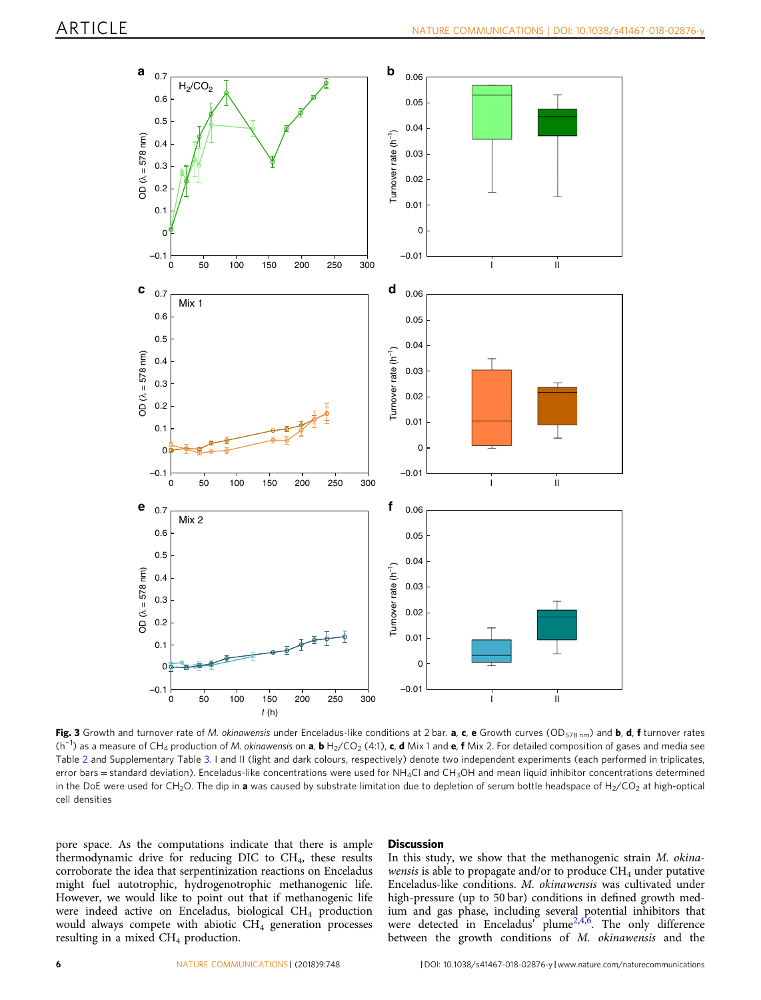<span id="page-5-0"></span>

Fig. 3 Growth and turnover rate of M. okinawensis under Enceladus-like conditions at 2 bar. a, c, e Growth curves (OD<sub>578 nm</sub>) and **b**, **d**, **f** turnover rates (h<sup>−1</sup>) as a measure of CH<sub>4</sub> production of M. okinawensis on **a, b** H<sub>2</sub>/CO<sub>2</sub> (4:1), **c, d** Mix 1 and **e, f** Mix 2. For detailed composition of gases and media see Table 2 and Supplementary Table 3. I and II (light and dark colours, respectively) denote two independent experiments (each performed in triplicates, error bars = standard deviation). Enceladus-like concentrations were used for  $NH_4Cl$  and  $CH_3OH$  and mean liquid inhibitor concentrations determined in the DoE were used for CH<sub>2</sub>O. The dip in a was caused by substrate limitation due to depletion of serum bottle headspace of H<sub>2</sub>/CO<sub>2</sub> at high-optical cell densities

pore space. As the computations indicate that there is ample thermodynamic drive for reducing DIC to CH<sub>4</sub>, these results corroborate the idea that serpentinization reactions on Enceladus might fuel autotrophic, hydrogenotrophic methanogenic life. However, we would like to point out that if methanogenic life were indeed active on Enceladus, biological CH<sub>4</sub> production would always compete with abiotic  $CH<sub>4</sub>$  generation processes resulting in a mixed  $CH<sub>4</sub>$  production.

### **Discussion**

In this study, we show that the methanogenic strain M. okinawensis is able to propagate and/or to produce  $CH_4$  under putative Enceladus-like conditions. M. okinawensis was cultivated under high-pressure (up to 50 bar) conditions in defined growth medium and gas phase, including several potential inhibitors that were detected in Enceladus' plume<sup>[2](#page-9-0),4,6</sup>. The only difference between the growth conditions of M. okinawensis and the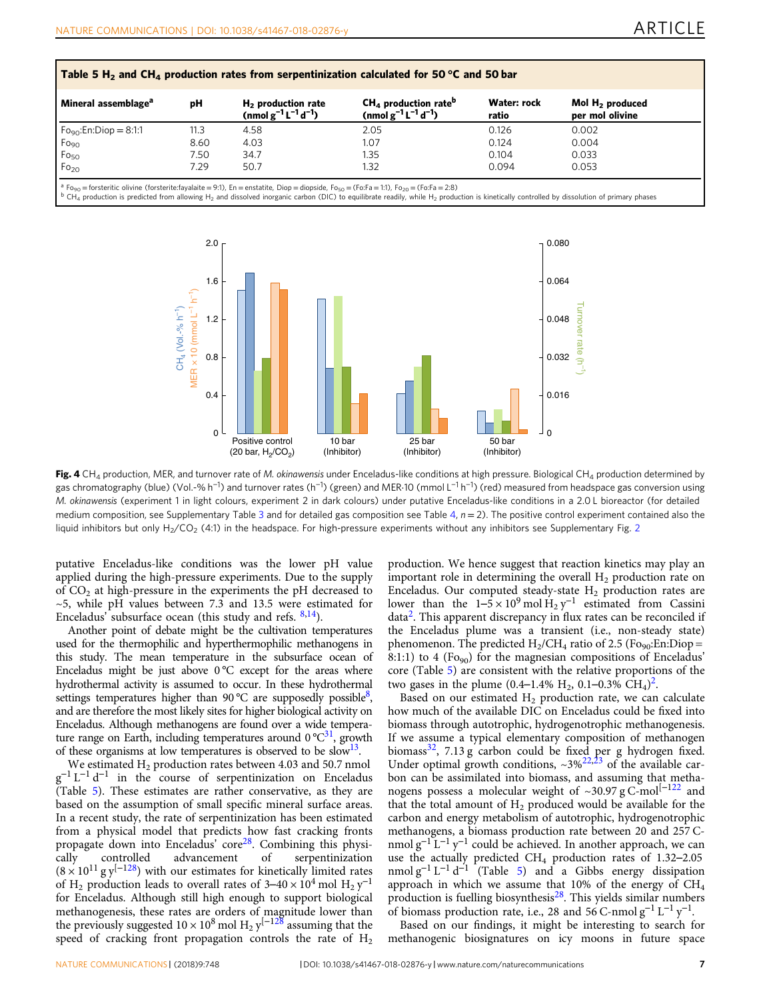<span id="page-6-0"></span>

| Mineral assemblage <sup>a</sup>      | рH   | $H2$ production rate<br>(nmol $g^{-1}L^{-1}d^{-1}$ ) | $CH4$ production rate <sup>b</sup><br>(nmol $g^{-1}L^{-1}d^{-1}$ ) | Water: rock<br>ratio | Mol $H_2$ produced<br>per mol olivine |
|--------------------------------------|------|------------------------------------------------------|--------------------------------------------------------------------|----------------------|---------------------------------------|
| $F_{\text{Oq}_0}$ : En: Diop = 8:1:1 | 11.3 | 4.58                                                 | 2.05                                                               | 0.126                | 0.002                                 |
| $Fo_{90}$                            | 8.60 | 4.03                                                 | 1.07                                                               | 0.124                | 0.004                                 |
| Fo <sub>50</sub>                     | 7.50 | 34.7                                                 | 1.35                                                               | 0.104                | 0.033                                 |
| Fo <sub>20</sub>                     | 7.29 | 50.7                                                 | 1.32                                                               | 0.094                | 0.053                                 |

<sup>1</sup> Fo<sub>90</sub> = forsteritic olivine (forsterite:fayalaite = 9:1), En = enstatite, Diop = diopside, Fo<sub>50</sub> = (Fo:Fa = 1:1), Fo<sub>20</sub> = (Fo:Fa = 2:8)<br><sup>0</sup> CH<sub>4</sub> production is predicted from allowing H<sub>2</sub> and dissolved inorganic ca



Fig. 4 CH<sub>4</sub> production, MER, and turnover rate of M. okinawensis under Enceladus-like conditions at high pressure. Biological CH<sub>4</sub> production determined by gas chromatography (blue) (Vol.-% h<sup>−1</sup>) and turnover rates (h<sup>−1</sup>) (green) and MER·10 (mmol L<sup>−1</sup> h<sup>−1</sup>) (red) measured from headspace gas conversion using M. okinawensis (experiment 1 in light colours, experiment 2 in dark colours) under putative Enceladus-like conditions in a 2.0 L bioreactor (for detailed medium composition, see Supplementary Table 3 and for detailed gas composition see Table 4,  $n = 2$ ). The positive control experiment contained also the liquid inhibitors but only  $H_2/CO_2$  (4:1) in the headspace. For high-pressure experiments without any inhibitors see Supplementary Fig. 2

putative Enceladus-like conditions was the lower pH value applied during the high-pressure experiments. Due to the supply of  $CO<sub>2</sub>$  at high-pressure in the experiments the pH decreased to ~5, while pH values between 7.3 and 13.5 were estimated for Enceladus' subsurface ocean (this study and refs. [8,14](#page-9-0)).

Another point of debate might be the cultivation temperatures used for the thermophilic and hyperthermophilic methanogens in this study. The mean temperature in the subsurface ocean of Enceladus might be just above  $0^{\circ}$ C except for the areas where hydrothermal activity is assumed to occur. In these hydrothermal settings temperatures higher than 90 °C are supposedly possible<sup>8</sup>, and are therefore the most likely sites for higher biological activity on Enceladus. Although methanogens are found over a wide temperature range on Earth, including temperatures around  $0^{\circ}C^{31}$ , growth of these organisms at low temperatures is observed to be slow<sup>13</sup>.

We estimated  $H_2$  production rates between 4.03 and 50.7 nmol  $g^{-1} L^{-1} d^{-1}$  in the course of serpentinization on Enceladus (Table 5). These estimates are rather conservative, as they are based on the assumption of small specific mineral surface areas. In a recent study, the rate of serpentinization has been estimated from a physical model that predicts how fast cracking fronts propagate down into Enceladus' core<sup>[28](#page-9-0)</sup>. Combining this physi-<br>cally controlled advancement of serpentinization cally controlled advancement of serpentinization  $(8 \times 10^{11} \text{ g y}^{(-128)})$  $(8 \times 10^{11} \text{ g y}^{(-128)})$  $(8 \times 10^{11} \text{ g y}^{(-128)})$  with our estimates for kinetically limited rates of H<sub>2</sub> production leads to overall rates of 3–40 ×  $10^4$  mol H<sub>2</sub> y<sup>-1</sup> for Enceladus. Although still high enough to support biological methanogenesis, these rates are orders of magnitude lower than the previously suggested  $10 \times 10^8$  mol H<sub>2</sub> y<sup>[−1[28](#page-9-0)</sup> assuming that the speed of cracking front propagation controls the rate of  $H_2$ 

production. We hence suggest that reaction kinetics may play an important role in determining the overall  $H_2$  production rate on Enceladus. Our computed steady-state  $H_2$  production rates are lower than the  $1-\overline{5} \times 10^{9}$  mol  $\overline{H}_2$  y<sup>-1</sup> estimated from Cassini data[2](#page-9-0). This apparent discrepancy in flux rates can be reconciled if the Enceladus plume was a transient (i.e., non-steady state) phenomenon. The predicted  $H_2/CH_4$  ratio of 2.5 (Fo<sub>90</sub>:En:Diop = 8:1:1) to 4 ( $Fo_{90}$ ) for the magnesian compositions of Enceladus' core (Table 5) are consistent with the relative proportions of the two gases in the plume (0.4–1.4% H<sub>[2](#page-9-0)</sub>, 0.1–0.3% CH<sub>4</sub>)<sup>2</sup>.

Based on our estimated  $H_2$  production rate, we can calculate how much of the available DIC on Enceladus could be fixed into biomass through autotrophic, hydrogenotrophic methanogenesis. If we assume a typical elementary composition of methanogen biomass $32$ , 7.13 g carbon could be fixed per g hydrogen fixed. Under optimal growth conditions,  $\sim 3\frac{622,23}{10}$  $\sim 3\frac{622,23}{10}$  $\sim 3\frac{622,23}{10}$  $\sim 3\frac{622,23}{10}$  $\sim 3\frac{622,23}{10}$  of the available carbon can be assimilated into biomass, and assuming that metha-nogens possess a molecular weight of ~30.97 g C-mol<sup>[−1[22](#page-9-0)</sup> and that the total amount of  $H_2$  produced would be available for the carbon and energy metabolism of autotrophic, hydrogenotrophic methanogens, a biomass production rate between 20 and 257 Cnmol  $g^{-1}L^{-1}y^{-1}$  could be achieved. In another approach, we can use the actually predicted CH<sub>4</sub> production rates of 1.32-2.05 nmol  $g^{-1} L^{-1} d^{-1}$  (Table 5) and a Gibbs energy dissipation approach in which we assume that 10% of the energy of  $CH<sub>4</sub>$ production is fuelling biosynthesis<sup>[28](#page-9-0)</sup>. This yields similar numbers of biomass production rate, i.e., 28 and 56 C-nmol  $g^{-1} L^{-1} y^{-1}$ .

Based on our findings, it might be interesting to search for methanogenic biosignatures on icy moons in future space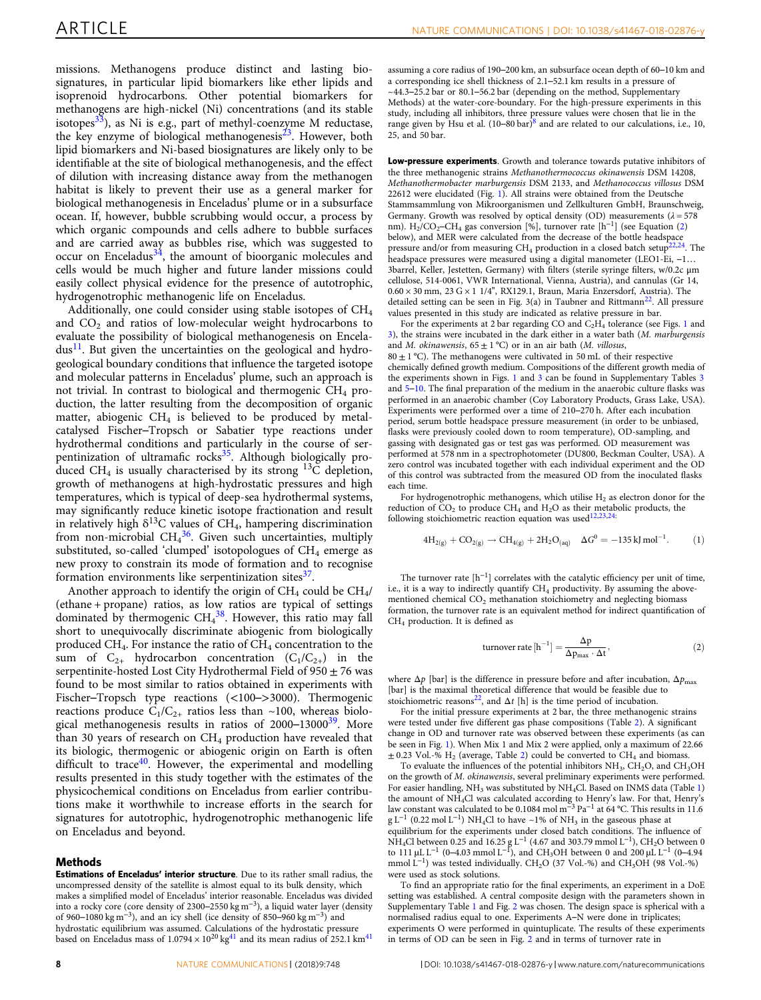missions. Methanogens produce distinct and lasting biosignatures, in particular lipid biomarkers like ether lipids and isoprenoid hydrocarbons. Other potential biomarkers for methanogens are high-nickel (Ni) concentrations (and its stable isotopes<sup>[33](#page-9-0)</sup>), as Ni is e.g., part of methyl-coenzyme M reductase, the key enzyme of biological methanogenesis<sup>[23](#page-9-0)</sup>. However, both lipid biomarkers and Ni-based biosignatures are likely only to be identifiable at the site of biological methanogenesis, and the effect of dilution with increasing distance away from the methanogen habitat is likely to prevent their use as a general marker for biological methanogenesis in Enceladus' plume or in a subsurface ocean. If, however, bubble scrubbing would occur, a process by which organic compounds and cells adhere to bubble surfaces and are carried away as bubbles rise, which was suggested to  $\rm{occur}$  on Enceladus<sup>[34](#page-9-0)</sup>, the amount of bioorganic molecules and cells would be much higher and future lander missions could easily collect physical evidence for the presence of autotrophic, hydrogenotrophic methanogenic life on Enceladus.

Additionally, one could consider using stable isotopes of  $CH<sub>4</sub>$ and  $CO<sub>2</sub>$  and ratios of low-molecular weight hydrocarbons to evaluate the possibility of biological methanogenesis on Encela $dus$ <sup>[11](#page-9-0)</sup>. But given the uncertainties on the geological and hydrogeological boundary conditions that influence the targeted isotope and molecular patterns in Enceladus' plume, such an approach is not trivial. In contrast to biological and thermogenic  $CH_4$  production, the latter resulting from the decomposition of organic matter, abiogenic  $CH<sub>4</sub>$  is believed to be produced by metalcatalysed Fischer–Tropsch or Sabatier type reactions under hydrothermal conditions and particularly in the course of serpentinization of ultramafic rocks $35$ . Although biologically produced CH<sub>4</sub> is usually characterised by its strong  $^{13}$ C depletion, growth of methanogens at high-hydrostatic pressures and high temperatures, which is typical of deep-sea hydrothermal systems, may significantly reduce kinetic isotope fractionation and result in relatively high  $\delta^{13}$ C values of CH<sub>4</sub>, hampering discrimination from non-microbial  $CH_4^{36}$  $CH_4^{36}$  $CH_4^{36}$ . Given such uncertainties, multiply substituted, so-called 'clumped' isotopologues of  $CH_4$  emerge as new proxy to constrain its mode of formation and to recognise formation environments like serpentinization sites $37$ .

Another approach to identify the origin of  $CH_4$  could be  $CH_4/$ (ethane + propane) ratios, as low ratios are typical of settings dominated by thermogenic CH<sub>4</sub><sup>38</sup>. However, this ratio may fall short to unequivocally discriminate abiogenic from biologically produced CH<sub>4</sub>. For instance the ratio of  $CH_4$  concentration to the sum of  $C_{2+}$  hydrocarbon concentration  $(C_1/C_{2+})$  in the serpentinite-hosted Lost City Hydrothermal Field of  $950 \pm 76$  was found to be most similar to ratios obtained in experiments with Fischer–Tropsch type reactions (<100–>3000). Thermogenic reactions produce  $C_1/C_{2+}$  ratios less than ~100, whereas biolo-gical methanogenesis results in ratios of 2000–13000<sup>[39](#page-9-0)</sup>. More than 30 years of research on  $CH_4$  production have revealed that its biologic, thermogenic or abiogenic origin on Earth is often difficult to trace $40$ . However, the experimental and modelling results presented in this study together with the estimates of the physicochemical conditions on Enceladus from earlier contributions make it worthwhile to increase efforts in the search for signatures for autotrophic, hydrogenotrophic methanogenic life on Enceladus and beyond.

#### Methods

Estimations of Enceladus' interior structure. Due to its rather small radius, the uncompressed density of the satellite is almost equal to its bulk density, which makes a simplified model of Enceladus' interior reasonable. Enceladus was divided into a rocky core (core density of 2300–2550 kg m<sup>−</sup>3), a liquid water layer (density of 960–1080 kg m<sup>−</sup>3), and an icy shell (ice density of 850–960 kg m<sup>−</sup>3) and hydrostatic equilibrium was assumed. Calculations of the hydrostatic pressure<br>based on Enceladus mass of 1.0794 × 10<sup>20</sup> kg<sup>[41](#page-9-0)</sup> and its mean radius of 252.1 km<sup>41</sup>

Low-pressure experiments. Growth and tolerance towards putative inhibitors of the three methanogenic strains Methanothermococcus okinawensis DSM 14208, Methanothermobacter marburgensis DSM 2133, and Methanococcus villosus DSM 22612 were elucidated (Fig. [1\)](#page-2-0). All strains were obtained from the Deutsche Stammsammlung von Mikroorganismen und Zellkulturen GmbH, Braunschweig, Germany. Growth was resolved by optical density (OD) measurements ( $\lambda = 578$ nm). H<sub>2</sub>/CO<sub>2</sub>–CH<sub>4</sub> gas conversion [%], turnover rate [h<sup>-1</sup>] (see Equation (2) below), and MER were calculated from the decrease of the bottle headspace pressure and/or from measuring  $CH_4$  production in a closed batch setup<sup>[22,24](#page-9-0)</sup>. The headspace pressures were measured using a digital manometer (LEO1-Ei, −1… 3barrel, Keller, Jestetten, Germany) with filters (sterile syringe filters, w/0.2c μm cellulose, 514-0061, VWR International, Vienna, Austria), and cannulas (Gr 14,  $0.60 \times 30$  mm,  $23$  G  $\times$  1 1/4", RX129.1, Braun, Maria Enzersdorf, Austria). The detailed setting can be seen in Fig.  $3(a)$  in Taubner and Rittmann<sup>[22](#page-9-0)</sup>. All pressure values presented in this study are indicated as relative pressure in bar.

For the experiments at 2 bar regarding CO and  $C_2H_4$  tolerance (see Figs. [1](#page-2-0) and [3](#page-5-0)), the strains were incubated in the dark either in a water bath (M. marburgensis and M. okinawensis,  $65 \pm 1$  °C) or in an air bath (M. villosus,  $80 \pm 1$  °C). The methanogens were cultivated in 50 mL of their respective chemically defined growth medium. Compositions of the different growth media of the experiments shown in Figs. [1](#page-2-0) and [3](#page-5-0) can be found in Supplementary Tables 3 and 5–10. The final preparation of the medium in the anaerobic culture flasks was performed in an anaerobic chamber (Coy Laboratory Products, Grass Lake, USA). Experiments were performed over a time of 210–270 h. After each incubation period, serum bottle headspace pressure measurement (in order to be unbiased, flasks were previously cooled down to room temperature), OD-sampling, and gassing with designated gas or test gas was performed. OD measurement was performed at 578 nm in a spectrophotometer (DU800, Beckman Coulter, USA). A zero control was incubated together with each individual experiment and the OD of this control was subtracted from the measured OD from the inoculated flasks each time.

For hydrogenotrophic methanogens, which utilise  $H_2$  as electron donor for the reduction of  $CO<sub>2</sub>$  to produce  $CH<sub>4</sub>$  and  $H<sub>2</sub>O$  as their metabolic products, the following stoichiometric reaction equation was used<sup>[12](#page-9-0),[23](#page-9-0),[24](#page-9-0)</sup>

$$
4H_{2(g)} + CO_{2(g)} \rightarrow CH_{4(g)} + 2H_2O_{(aq)} \quad \Delta G^0 = -135 \text{ kJ mol}^{-1}.
$$
 (1)

The turnover rate [h<sup>-1</sup>] correlates with the catalytic efficiency per unit of time, i.e., it is a way to indirectly quantify CH<sub>4</sub> productivity. By assuming the abovementioned chemical CO<sub>2</sub> methanation stoichiometry and neglecting biomass formation, the turnover rate is an equivalent method for indirect quantification of CH4 production. It is defined as

turnover rate 
$$
[h^{-1}] = \frac{\Delta p}{\Delta p_{max} \cdot \Delta t}
$$
, (2)

where  $\Delta p$  [bar] is the difference in pressure before and after incubation,  $\Delta p_{\text{max}}$ [bar] is the maximal theoretical difference that would be feasible due to stoichiometric reasons<sup>22</sup>, and  $\Delta t$  [h] is the time period of incubation.

For the initial pressure experiments at 2 bar, the three methanogenic strains were tested under five different gas phase compositions (Table 2). A significant change in OD and turnover rate was observed between these experiments (as can be seen in Fig. [1](#page-2-0)). When Mix 1 and Mix 2 were applied, only a maximum of 22.66  $\pm$  0.23 Vol.-% H<sub>2</sub> (average, Table 2) could be converted to CH<sub>4</sub> and biomass.

To evaluate the influences of the potential inhibitors  $NH_3$ ,  $CH_2O$ , and  $CH_3OH$ on the growth of M. okinawensis, several preliminary experiments were performed. For easier handling,  $\mathrm{NH}_3$  was substituted by  $\mathrm{NH}_4\mathrm{Cl}.$  Based on INMS data (Table 1) the amount of NH4Cl was calculated according to Henry's law. For that, Henry's law constant was calculated to be 0.1084 mol m−<sup>3</sup> Pa−<sup>1</sup> at 64 °C. This results in 11.6  $g L^{-1}$  (0.22 mol L<sup>-1</sup>) NH<sub>4</sub>Cl to have ~1% of NH<sub>3</sub> in the gaseous phase at equilibrium for the experiments under closed batch conditions. The influence of NH<sub>4</sub>Cl between 0.25 and 16.25 g L<sup>-1</sup> (4.67 and 303.79 mmol L<sup>-1</sup>), CH<sub>2</sub>O between 0 to 111 µL L<sup>-1</sup> (0–4.03 mmol L<sup>-1</sup>), and CH<sub>3</sub>OH between 0 and 200 µL L<sup>-1</sup> (0–4.94 mmol L<sup>-1</sup>) was tested individually. CH<sub>2</sub>O (37 Vol.-%) and CH<sub>3</sub>OH (98 Vol.-%) were used as stock solutions.

To find an appropriate ratio for the final experiments, an experiment in a DoE setting was established. A central composite design with the parameters shown in Supplementary Table 1 and Fig. [2](#page-3-0) was chosen. The design space is spherical with a normalised radius equal to one. Experiments A–N were done in triplicates; experiments O were performed in quintuplicate. The results of these experiments in terms of OD can be seen in Fig. [2](#page-3-0) and in terms of turnover rate in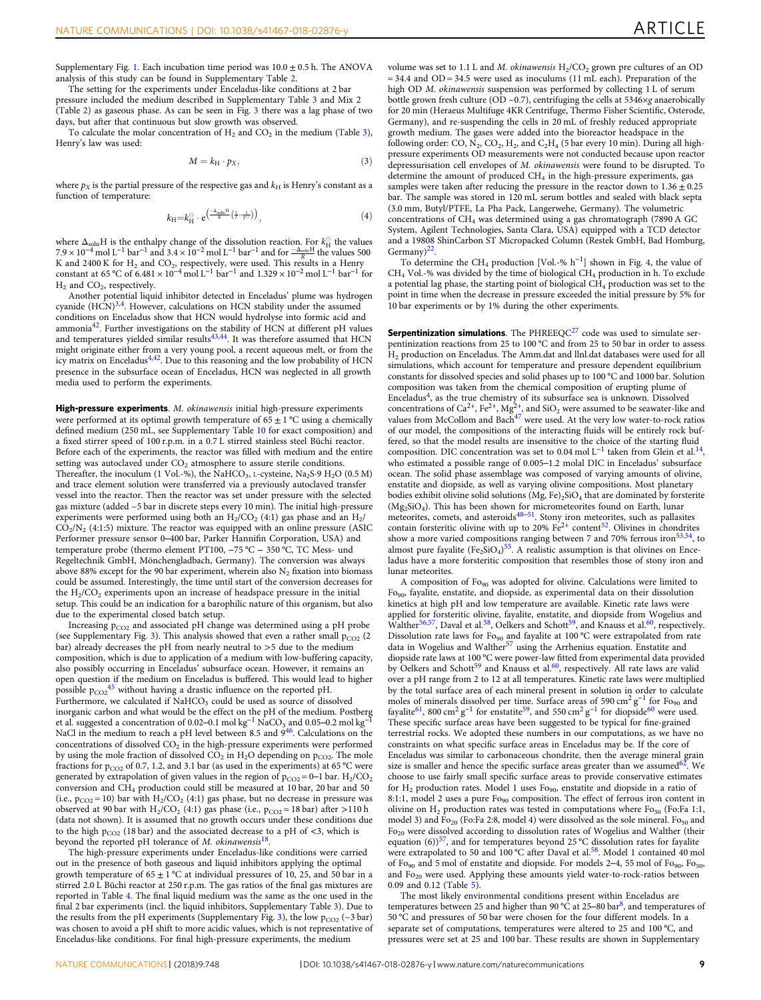Supplementary Fig. 1. Each incubation time period was  $10.0 \pm 0.5$  h. The ANOVA analysis of this study can be found in Supplementary Table 2.

The setting for the experiments under Enceladus-like conditions at 2 bar pressure included the medium described in Supplementary Table 3 and Mix 2 (Table 2) as gaseous phase. As can be seen in Fig. [3](#page-5-0) there was a lag phase of two days, but after that continuous but slow growth was observed.

To calculate the molar concentration of  $H_2$  and  $CO_2$  in the medium (Table 3), Henry's law was used:

$$
M = k_{\rm H} \cdot p_X,\tag{3}
$$

where  $p_X$  is the partial pressure of the respective gas and  $k_H$  is Henry's constant as a function of temperature:

$$
k_{\mathrm{H}}=k_{\mathrm{H}}^{\ominus}\cdot\mathrm{e}^{\left(\frac{-\Delta_{\mathrm{soln}}\mathrm{H}}{R}\left(\frac{1}{T}-\frac{1}{T^{\ominus}}\right)\right)},\tag{4}
$$

where  $\Delta_{soln}H$  is the enthalpy change of the dissolution reaction. For  $k_H^{\text{H}}$  the values 500<br>7.9 × 10<sup>-4</sup> mol L<sup>-1</sup> bar<sup>-1</sup> and 3.4 × 10<sup>-2</sup> mol L<sup>-1</sup> bar<sup>-1</sup> and for  $\frac{-\Delta_{soln}H}{R}$  the values 500 K and 2400 K for  $H_2$  and  $CO_2$ , respectively, were used. This results in a Henry constant at 65 °C of 6.481 ×  $10^{-4}$  mol  $L^{-1}$  bar<sup>-1</sup> and  $1.329 \times 10^{-2}$  mol  $L^{-1}$  bar<sup>-1</sup> for  $H_2$  and  $CO_2$ , respectively.

Another potential liquid inhibitor detected in Enceladus' plume was hydrogen cyanide  $(HCN)^{3,4}$  $(HCN)^{3,4}$  $(HCN)^{3,4}$ . However, calculations on HCN stability under the assumed conditions on Enceladus show that HCN would hydrolyse into formic acid and ammonia[42.](#page-9-0) Further investigations on the stability of HCN at different pH values and temperatures yielded similar results<sup>43,44</sup>. It was therefore assumed that HCN might originate either from a very young pool, a recent aqueous melt, or from the icy matrix on Enceladus<sup>4,42</sup>. Due to this reasoning and the low probability of HCN presence in the subsurface ocean of Enceladus, HCN was neglected in all growth media used to perform the experiments.

High-pressure experiments. M. okinawensis initial high-pressure experiments were performed at its optimal growth temperature of  $65 \pm 1$  °C using a chemically defined medium (250 mL, see Supplementary Table 10 for exact composition) and a fixed stirrer speed of 100 r.p.m. in a 0.7 L stirred stainless steel Büchi reactor. Before each of the experiments, the reactor was filled with medium and the entire setting was autoclaved under  $CO<sub>2</sub>$  atmosphere to assure sterile conditions. Thereafter, the inoculum (1 Vol.-%), the NaHCO<sub>3</sub>, L-cysteine, Na<sub>2</sub>S·9 H<sub>2</sub>O (0.5 M) and trace element solution were transferred via a previously autoclaved transfer vessel into the reactor. Then the reactor was set under pressure with the selected gas mixture (added ~5 bar in discrete steps every 10 min). The initial high-pressure experiments were performed using both an  $H_2/CO_2$  (4:1) gas phase and an  $H_2/$  $CO<sub>2</sub>/N<sub>2</sub>$  (4:1:5) mixture. The reactor was equipped with an online pressure (ASIC Performer pressure sensor 0–400 bar, Parker Hannifin Corporation, USA) and temperature probe (thermo element PT100, −75 °C − 350 °C, TC Mess- und Regeltechnik GmbH, Mönchengladbach, Germany). The conversion was always above 88% except for the 90 bar experiment, wherein also  $N_2$  fixation into biomass could be assumed. Interestingly, the time until start of the conversion decreases for the  $H_2/CO_2$  experiments upon an increase of headspace pressure in the initial setup. This could be an indication for a barophilic nature of this organism, but also due to the experimental closed batch setup.

Increasing  $p_{CO2}$  and associated pH change was determined using a pH probe (see Supplementary Fig. 3). This analysis showed that even a rather small  $p_{CO2}$  (2) bar) already decreases the pH from nearly neutral to >5 due to the medium composition, which is due to application of a medium with low-buffering capacity, also possibly occurring in Enceladus' subsurface ocean. However, it remains an open question if the medium on Enceladus is buffered. This would lead to higher possible  $p_{CO2}^{45}$  without having a drastic influence on the reported pH. Furthermore, we calculated if NaHCO<sub>3</sub> could be used as source of dissolved inorganic carbon and what would be the effect on the pH of the medium. Postberg et al. suggested a concentration of 0.02–0.1 mol kg<sup>-1</sup> NaCO<sub>3</sub> and 0.05–0.2 mol kg<sup>-1</sup> NaCl in the medium to reach a pH level between 8.5 and  $9^{46}$  $9^{46}$  $9^{46}$ . Calculations on the concentrations of dissolved  $\mathrm{CO}_2$  in the high-pressure experiments were performed by using the mole fraction of dissolved  $CO<sub>2</sub>$  in  $H<sub>2</sub>O$  depending on  $p<sub>CO2</sub>$ . The mole fractions for  $p_{CO2}$  of 0.7, 1.2, and 3.1 bar (as used in the experiments) at 65 °C were generated by extrapolation of given values in the region of  $p_{CO2} = 0-1$  bar.  $H_2/CO_2$ conversion and CH4 production could still be measured at 10 bar, 20 bar and 50 (i.e.,  $p_{CO2} = 10$ ) bar with  $H_2/CO_2$  (4:1) gas phase, but no decrease in pressure was observed at 90 bar with  $H_2/CO_2$  (4:1) gas phase (i.e.,  $p_{CO2} = 18$  bar) after >110 h (data not shown). It is assumed that no growth occurs under these conditions due to the high  $p_{CO2}$  (18 bar) and the associated decrease to a pH of <3, which is beyond the reported pH tolerance of  $M$ . okinawensis<sup>[18](#page-9-0)</sup>.

The high-pressure experiments under Enceladus-like conditions were carried out in the presence of both gaseous and liquid inhibitors applying the optimal growth temperature of  $65 \pm 1$  °C at individual pressures of 10, 25, and 50 bar in a stirred 2.0 L Büchi reactor at 250 r.p.m. The gas ratios of the final gas mixtures are reported in Table 4. The final liquid medium was the same as the one used in the final 2 bar experiments (incl. the liquid inhibitors, Supplementary Table 3). Due to the results from the pH experiments (Supplementary Fig. 3), the low  $p_{CO2}$  (~3 bar) was chosen to avoid a pH shift to more acidic values, which is not representative of Enceladus-like conditions. For final high-pressure experiments, the medium

volume was set to 1.1 L and M. okinawensis  $H_2/CO_2$  grown pre cultures of an OD  $= 34.4$  and OD = 34.5 were used as inoculums (11 mL each). Preparation of the high OD M. okinawensis suspension was performed by collecting 1 L of serum bottle grown fresh culture (OD ~0.7), centrifuging the cells at  $5346 \times g$  anaerobically for 20 min (Heraeus Multifuge 4KR Centrifuge, Thermo Fisher Scientific, Osterode, Germany), and re-suspending the cells in 20 mL of freshly reduced appropriate growth medium. The gases were added into the bioreactor headspace in the following order: CO,  $N_2$ , CO<sub>2</sub>, H<sub>2</sub>, and C<sub>2</sub>H<sub>4</sub> (5 bar every 10 min). During all highpressure experiments OD measurements were not conducted because upon reactor depressurisation cell envelopes of M. okinawensis were found to be disrupted. To determine the amount of produced  $CH_4$  in the high-pressure experiments, gas samples were taken after reducing the pressure in the reactor down to  $1.36 \pm 0.25$ bar. The sample was stored in 120 mL serum bottles and sealed with black septa (3.0 mm, Butyl/PTFE, La Pha Pack, Langerwehe, Germany). The volumetric concentrations of CH4 was determined using a gas chromatograph (7890 A GC System, Agilent Technologies, Santa Clara, USA) equipped with a TCD detector and a 19808 ShinCarbon ST Micropacked Column (Restek GmbH, Bad Homburg, Germany) $^{22}$ 

To determine the CH4 production [Vol.-% h<sup>−</sup>1] shown in Fig. [4](#page-6-0), the value of  $CH_4$  Vol.-% was divided by the time of biological  $CH_4$  production in h. To exclude a potential lag phase, the starting point of biological CH<sub>4</sub> production was set to the point in time when the decrease in pressure exceeded the initial pressure by 5% for 10 bar experiments or by 1% during the other experiments.

**Serpentinization simulations**. The PHREEQC $^{27}$  $^{27}$  $^{27}$  code was used to simulate serpentinization reactions from 25 to 100 °C and from 25 to 50 bar in order to assess H2 production on Enceladus. The Amm.dat and llnl.dat databases were used for all simulations, which account for temperature and pressure dependent equilibrium constants for dissolved species and solid phases up to 100 °C and 1000 bar. Solution composition was taken from the chemical composition of erupting plume of Enceladus<sup>4</sup>, as the true chemistry of its subsurface sea is unknown. Dissolved concentrations of Ca<sup>2+</sup>, Fe<sup>2+</sup>, Mg<sup>2+</sup>, and SiO<sub>2</sub> were assumed to be seawater-like and values from McCollom and Bach<sup>[47](#page-9-0)</sup> were used. At the very low water-to-rock ratios of our model, the compositions of the interacting fluids will be entirely rock buffered, so that the model results are insensitive to the choice of the starting fluid composition. DIC concentration was set to 0.04 mol L<sup>-1</sup> taken from Glein et al.<sup>14</sup>, who estimated a possible range of 0.005–1.2 molal DIC in Enceladus' subsurface ocean. The solid phase assemblage was composed of varying amounts of olivine, enstatite and diopside, as well as varying olivine compositions. Most planetary bodies exhibit olivine solid solutions (Mg, Fe)<sub>2</sub>SiO<sub>4</sub> that are dominated by forsterite  $(Mg_2SiO_4)$ . This has been shown for micrometeorites found on Earth, lunar meteorites, comets, and asteroids<sup>[48](#page-9-0)–51</sup>. Stony iron meteorites, such as pallasites contain forsteritic olivine with up to  $20\%$  Fe<sup>2+</sup> content<sup>[52](#page-9-0)</sup>. Olivines in chondrites show a more varied compositions ranging between 7 and 70% ferrous iron<sup>53,54</sup>, to almost pure fayalite  $(Fe<sub>2</sub>SiO<sub>4</sub>)<sup>55</sup>$  $(Fe<sub>2</sub>SiO<sub>4</sub>)<sup>55</sup>$  $(Fe<sub>2</sub>SiO<sub>4</sub>)<sup>55</sup>$ . A realistic assumption is that olivines on Enceladus have a more forsteritic composition that resembles those of stony iron and lunar meteorites.

A composition of Fo<sub>90</sub> was adopted for olivine. Calculations were limited to Fo90, fayalite, enstatite, and diopside, as experimental data on their dissolution kinetics at high pH and low temperature are available. Kinetic rate laws were applied for forsteritic olivine, fayalite, enstatite, and diopside from Wogelius and Walther<sup>56,57</sup>, Daval et al.<sup>58</sup>, Oelkers and Schott<sup>59</sup>, and Knauss et al.<sup>60</sup>, respectively. Dissolution rate laws for Fo<sub>90</sub> and fayalite at 100 °C were extrapolated from rate data in Wogelius and Walther<sup>[57](#page-10-0)</sup> using the Arrhenius equation. Enstatite and diopside rate laws at 100 °C were power-law fitted from experimental data provided by Oelkers and Schott<sup>59</sup> and Knauss et al.<sup>[60](#page-10-0)</sup>, respectively. All rate laws are valid over a pH range from 2 to 12 at all temperatures. Kinetic rate laws were multiplied by the total surface area of each mineral present in solution in order to calculate moles of minerals dissolved per time. Surface areas of 590 cm<sup>2</sup> g<sup>-1</sup> for Fo<sub>90</sub> and fayalite<sup>61</sup>, 800 cm<sup>2</sup> g<sup>-1</sup> for enstatite<sup>59</sup>, and 550 cm<sup>2</sup> g<sup>-1</sup> for diopside<sup>[60](#page-10-0)</sup> were used. These specific surface areas have been suggested to be typical for fine-grained terrestrial rocks. We adopted these numbers in our computations, as we have no constraints on what specific surface areas in Enceladus may be. If the core of Enceladus was similar to carbonaceous chondrite, then the average mineral grain size is smaller and hence the specific surface areas greater than we assumed  $62$ . We choose to use fairly small specific surface areas to provide conservative estimates for  $H_2$  production rates. Model 1 uses  $Fo_{90}$ , enstatite and diopside in a ratio of 8:1:1, model 2 uses a pure Fo<sub>90</sub> composition. The effect of ferrous iron content in olivine on  $H_2$  production rates was tested in computations where  $Fo_{50}$  (Fo:Fa 1:1, model 3) and  $\bar{F}_{20}$  (Fo:Fa 2:8, model 4) were dissolved as the sole mineral. Fo<sub>50</sub> and Fo<sub>20</sub> were dissolved according to dissolution rates of Wogelius and Walther (their equation (6))<sup>[57](#page-10-0)</sup>, and for temperatures beyond 25 °C dissolution rates for fayalite were extrapolated to 50 and 100 °C after Daval et al.<sup>[58](#page-10-0)</sup>. Model 1 contained 40 mol of Fo<sub>90</sub> and 5 mol of enstatite and diopside. For models 2–4, 55 mol of Fo<sub>90</sub>, Fo<sub>50</sub>, and Fo<sub>20</sub> were used. Applying these amounts yield water-to-rock-ratios between 0.09 and 0.12 (Table 5).

The most likely environmental conditions present within Enceladus are temperatures between 25 and higher than 90 °C at 25–80 bar<sup>8</sup>, and temperatures of 50 °C and pressures of 50 bar were chosen for the four different models. In a separate set of computations, temperatures were altered to 25 and 100 °C, and pressures were set at 25 and 100 bar. These results are shown in Supplementary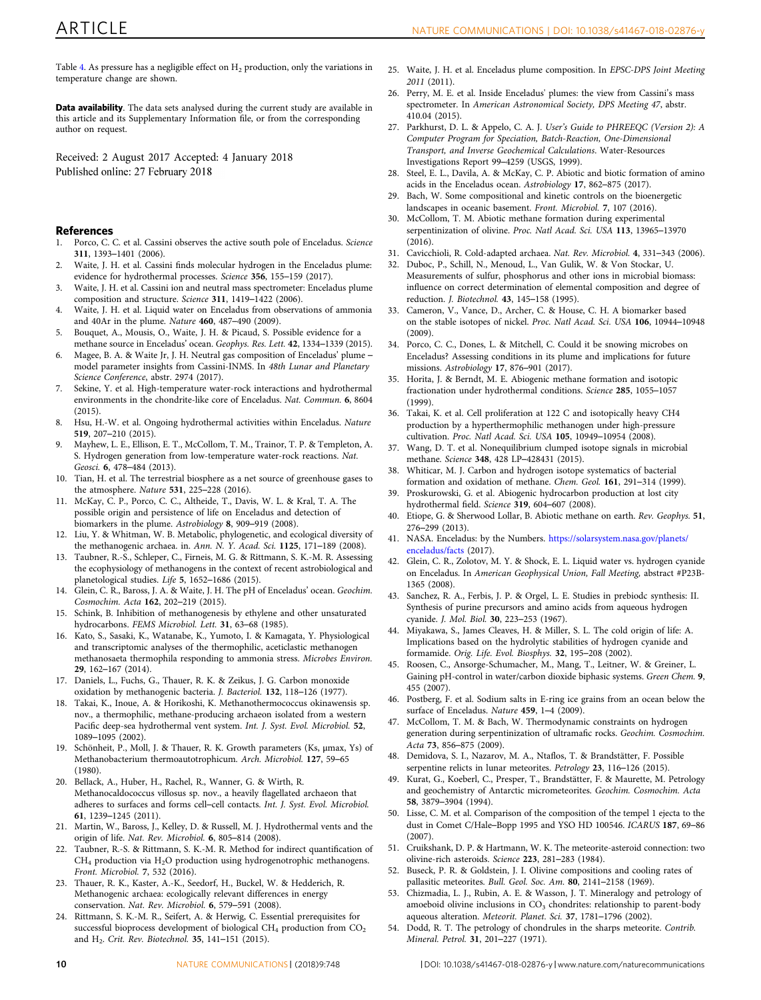<span id="page-9-0"></span>Table 4. As pressure has a negligible effect on  $H_2$  production, only the variations in temperature change are shown.

Data availability. The data sets analysed during the current study are available in this article and its Supplementary Information file, or from the corresponding author on request.

Received: 2 August 2017 Accepted: 4 January 2018 Published online: 27 February 2018

# References

- 1. Porco, C. C. et al. Cassini observes the active south pole of Enceladus. Science 311, 1393–1401 (2006).
- 2. Waite, J. H. et al. Cassini finds molecular hydrogen in the Enceladus plume: evidence for hydrothermal processes. Science 356, 155–159 (2017).
- 3. Waite, J. H. et al. Cassini ion and neutral mass spectrometer: Enceladus plume composition and structure. Science 311, 1419–1422 (2006).
- 4. Waite, J. H. et al. Liquid water on Enceladus from observations of ammonia and 40Ar in the plume. Nature 460, 487–490 (2009).
- 5. Bouquet, A., Mousis, O., Waite, J. H. & Picaud, S. Possible evidence for a methane source in Enceladus' ocean. Geophys. Res. Lett. 42, 1334–1339 (2015).
- 6. Magee, B. A. & Waite Jr, J. H. Neutral gas composition of Enceladus' plume model parameter insights from Cassini-INMS. In 48th Lunar and Planetary Science Conference, abstr. 2974 (2017).
- 7. Sekine, Y. et al. High-temperature water-rock interactions and hydrothermal environments in the chondrite-like core of Enceladus. Nat. Commun. 6, 8604  $(2015)$
- 8. Hsu, H.-W. et al. Ongoing hydrothermal activities within Enceladus. Nature 519, 207–210 (2015).
- Mayhew, L. E., Ellison, E. T., McCollom, T. M., Trainor, T. P. & Templeton, A. S. Hydrogen generation from low-temperature water-rock reactions. Nat. Geosci. 6, 478–484 (2013).
- 10. Tian, H. et al. The terrestrial biosphere as a net source of greenhouse gases to the atmosphere. Nature 531, 225–228 (2016).
- 11. McKay, C. P., Porco, C. C., Altheide, T., Davis, W. L. & Kral, T. A. The possible origin and persistence of life on Enceladus and detection of biomarkers in the plume. Astrobiology 8, 909–919 (2008).
- 12. Liu, Y. & Whitman, W. B. Metabolic, phylogenetic, and ecological diversity of the methanogenic archaea. in. Ann. N. Y. Acad. Sci. 1125, 171–189 (2008).
- 13. Taubner, R.-S., Schleper, C., Firneis, M. G. & Rittmann, S. K.-M. R. Assessing the ecophysiology of methanogens in the context of recent astrobiological and planetological studies. Life 5, 1652–1686 (2015).
- 14. Glein, C. R., Baross, J. A. & Waite, J. H. The pH of Enceladus' ocean. Geochim. Cosmochim. Acta 162, 202–219 (2015).
- 15. Schink, B. Inhibition of methanogenesis by ethylene and other unsaturated hydrocarbons. FEMS Microbiol. Lett. 31, 63–68 (1985).
- 16. Kato, S., Sasaki, K., Watanabe, K., Yumoto, I. & Kamagata, Y. Physiological and transcriptomic analyses of the thermophilic, aceticlastic methanogen methanosaeta thermophila responding to ammonia stress. Microbes Environ. 29, 162–167 (2014).
- 17. Daniels, L., Fuchs, G., Thauer, R. K. & Zeikus, J. G. Carbon monoxide oxidation by methanogenic bacteria. J. Bacteriol. 132, 118–126 (1977).
- 18. Takai, K., Inoue, A. & Horikoshi, K. Methanothermococcus okinawensis sp. nov., a thermophilic, methane-producing archaeon isolated from a western Pacific deep-sea hydrothermal vent system. Int. J. Syst. Evol. Microbiol. 52, 1089–1095 (2002).
- 19. Schönheit, P., Moll, J. & Thauer, R. K. Growth parameters (Ks, μmax, Ys) of Methanobacterium thermoautotrophicum. Arch. Microbiol. 127, 59–65 (1980).
- 20. Bellack, A., Huber, H., Rachel, R., Wanner, G. & Wirth, R. Methanocaldococcus villosus sp. nov., a heavily flagellated archaeon that adheres to surfaces and forms cell–cell contacts. Int. J. Syst. Evol. Microbiol. 61, 1239–1245 (2011).
- 21. Martin, W., Baross, J., Kelley, D. & Russell, M. J. Hydrothermal vents and the origin of life. Nat. Rev. Microbiol. 6, 805–814 (2008).
- 22. Taubner, R.-S. & Rittmann, S. K.-M. R. Method for indirect quantification of  $\rm CH_{4}$  production via  $\rm H_{2}O$  production using hydrogenotrophic methanogens. Front. Microbiol. 7, 532 (2016).
- 23. Thauer, R. K., Kaster, A.-K., Seedorf, H., Buckel, W. & Hedderich, R. Methanogenic archaea: ecologically relevant differences in energy conservation. Nat. Rev. Microbiol. 6, 579–591 (2008).
- Rittmann, S. K.-M. R., Seifert, A. & Herwig, C. Essential prerequisites for successful bioprocess development of biological CH<sub>4</sub> production from CO<sub>2</sub> and H<sub>2</sub>. Crit. Rev. Biotechnol. 35, 141-151 (2015).
- 25. Waite, J. H. et al. Enceladus plume composition. In EPSC-DPS Joint Meeting 2011 (2011).
- 26. Perry, M. E. et al. Inside Enceladus' plumes: the view from Cassini's mass spectrometer. In American Astronomical Society, DPS Meeting 47, abstr. 410.04 (2015).
- 27. Parkhurst, D. L. & Appelo, C. A. J. User's Guide to PHREEQC (Version 2): A Computer Program for Speciation, Batch-Reaction, One-Dimensional Transport, and Inverse Geochemical Calculations. Water-Resources Investigations Report 99–4259 (USGS, 1999).
- 28. Steel, E. L., Davila, A. & McKay, C. P. Abiotic and biotic formation of amino acids in the Enceladus ocean. Astrobiology 17, 862–875 (2017).
- 29. Bach, W. Some compositional and kinetic controls on the bioenergetic landscapes in oceanic basement. Front. Microbiol. 7, 107 (2016).
- 30. McCollom, T. M. Abiotic methane formation during experimental serpentinization of olivine. Proc. Natl Acad. Sci. USA 113, 13965–13970 (2016).
- 31. Cavicchioli, R. Cold-adapted archaea. Nat. Rev. Microbiol. 4, 331–343 (2006).
- 32. Duboc, P., Schill, N., Menoud, L., Van Gulik, W. & Von Stockar, U. Measurements of sulfur, phosphorus and other ions in microbial biomass: influence on correct determination of elemental composition and degree of reduction. J. Biotechnol. 43, 145–158 (1995).
- 33. Cameron, V., Vance, D., Archer, C. & House, C. H. A biomarker based on the stable isotopes of nickel. Proc. Natl Acad. Sci. USA 106, 10944–10948  $(2009)$
- 34. Porco, C. C., Dones, L. & Mitchell, C. Could it be snowing microbes on Enceladus? Assessing conditions in its plume and implications for future missions. Astrobiology 17, 876–901 (2017).
- Horita, J. & Berndt, M. E. Abiogenic methane formation and isotopic fractionation under hydrothermal conditions. Science 285, 1055–1057 (1999).
- 36. Takai, K. et al. Cell proliferation at 122 C and isotopically heavy CH4 production by a hyperthermophilic methanogen under high-pressure cultivation. Proc. Natl Acad. Sci. USA 105, 10949–10954 (2008).
- 37. Wang, D. T. et al. Nonequilibrium clumped isotope signals in microbial methane. Science 348, 428 LP–428431 (2015).
- 38. Whiticar, M. J. Carbon and hydrogen isotope systematics of bacterial formation and oxidation of methane. Chem. Geol. 161, 291–314 (1999).
- 39. Proskurowski, G. et al. Abiogenic hydrocarbon production at lost city hydrothermal field. Science 319, 604–607 (2008).
- 40. Etiope, G. & Sherwood Lollar, B. Abiotic methane on earth. Rev. Geophys. 51, 276–299 (2013).
- 41. NASA. Enceladus: by the Numbers. [https://solarsystem.nasa.gov/planets/](https://solarsystem.nasa.gov/planets/enceladus/facts) [enceladus/facts](https://solarsystem.nasa.gov/planets/enceladus/facts) (2017).
- 42. Glein, C. R., Zolotov, M. Y. & Shock, E. L. Liquid water vs. hydrogen cyanide on Enceladus. In American Geophysical Union, Fall Meeting, abstract #P23B-1365 (2008).
- 43. Sanchez, R. A., Ferbis, J. P. & Orgel, L. E. Studies in prebiodc synthesis: II. Synthesis of purine precursors and amino acids from aqueous hydrogen cyanide. J. Mol. Biol. 30, 223–253 (1967).
- 44. Miyakawa, S., James Cleaves, H. & Miller, S. L. The cold origin of life: A. Implications based on the hydrolytic stabilities of hydrogen cyanide and formamide. Orig. Life. Evol. Biosphys. 32, 195–208 (2002).
- 45. Roosen, C., Ansorge-Schumacher, M., Mang, T., Leitner, W. & Greiner, L. Gaining pH-control in water/carbon dioxide biphasic systems. Green Chem. 9, 455 (2007).
- Postberg, F. et al. Sodium salts in E-ring ice grains from an ocean below the surface of Enceladus. Nature 459, 1-4 (2009).
- 47. McCollom, T. M. & Bach, W. Thermodynamic constraints on hydrogen generation during serpentinization of ultramafic rocks. Geochim. Cosmochim. Acta 73, 856–875 (2009).
- 48. Demidova, S. I., Nazarov, M. A., Ntaflos, T. & Brandstätter, F. Possible serpentine relicts in lunar meteorites. Petrology 23, 116–126 (2015).
- 49. Kurat, G., Koeberl, C., Presper, T., Brandstätter, F. & Maurette, M. Petrology and geochemistry of Antarctic micrometeorites. Geochim. Cosmochim. Acta 58, 3879–3904 (1994).
- 50. Lisse, C. M. et al. Comparison of the composition of the tempel 1 ejecta to the dust in Comet C/Hale–Bopp 1995 and YSO HD 100546. ICARUS 187, 69–86 (2007).
- 51. Cruikshank, D. P. & Hartmann, W. K. The meteorite-asteroid connection: two olivine-rich asteroids. Science 223, 281–283 (1984).
- 52. Buseck, P. R. & Goldstein, J. I. Olivine compositions and cooling rates of pallasitic meteorites. Bull. Geol. Soc. Am. 80, 2141–2158 (1969).
- 53. Chizmadia, L. J., Rubin, A. E. & Wasson, J. T. Mineralogy and petrology of amoeboid olivine inclusions in  $CO<sub>3</sub>$  chondrites: relationship to parent-body aqueous alteration. Meteorit. Planet. Sci. 37, 1781–1796 (2002).
- 54. Dodd, R. T. The petrology of chondrules in the sharps meteorite. Contrib. Mineral. Petrol. 31, 201–227 (1971).